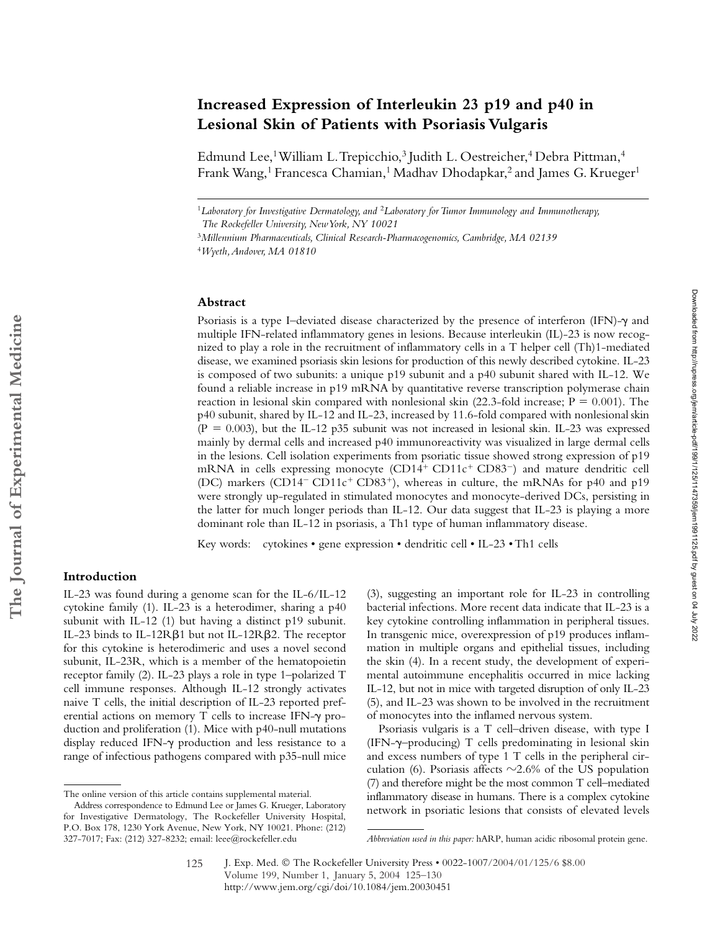# **Increased Expression of Interleukin 23 p19 and p40 in Lesional Skin of Patients with Psoriasis Vulgaris**

Edmund Lee,<sup>1</sup> William L. Trepicchio,<sup>3</sup> Judith L. Oestreicher,<sup>4</sup> Debra Pittman,<sup>4</sup> Frank Wang,<sup>1</sup> Francesca Chamian,<sup>1</sup> Madhav Dhodapkar,<sup>2</sup> and James G. Krueger<sup>1</sup>

<sup>1</sup>*Laboratory for Investigative Dermatology, and* <sup>2</sup>*Laboratory for Tumor Immunology and Immunotherapy, The Rockefeller University, New York, NY 10021*

#### **Abstract**

Psoriasis is a type I-deviated disease characterized by the presence of interferon (IFN)- $\gamma$  and multiple IFN-related inflammatory genes in lesions. Because interleukin (IL)-23 is now recognized to play a role in the recruitment of inflammatory cells in a T helper cell (Th)1-mediated disease, we examined psoriasis skin lesions for production of this newly described cytokine. IL-23 is composed of two subunits: a unique p19 subunit and a p40 subunit shared with IL-12. We found a reliable increase in p19 mRNA by quantitative reverse transcription polymerase chain reaction in lesional skin compared with nonlesional skin (22.3-fold increase;  $P = 0.001$ ). The p40 subunit, shared by IL-12 and IL-23, increased by 11.6-fold compared with nonlesional skin  $(P = 0.003)$ , but the IL-12 p35 subunit was not increased in lesional skin. IL-23 was expressed mainly by dermal cells and increased p40 immunoreactivity was visualized in large dermal cells in the lesions. Cell isolation experiments from psoriatic tissue showed strong expression of p19 mRNA in cells expressing monocyte  $(CD14^+ CD11c^+ CD83^-)$  and mature dendritic cell (DC) markers (CD14<sup>-</sup> CD11c<sup>+</sup> CD83<sup>+</sup>), whereas in culture, the mRNAs for p40 and p19 were strongly up-regulated in stimulated monocytes and monocyte-derived DCs, persisting in the latter for much longer periods than IL-12. Our data suggest that IL-23 is playing a more dominant role than IL-12 in psoriasis, a Th1 type of human inflammatory disease.

Key words: cytokines • gene expression • dendritic cell • IL-23 • Th1 cells

### **Introduction**

IL-23 was found during a genome scan for the IL-6/IL-12 cytokine family (1). IL-23 is a heterodimer, sharing a p40 subunit with IL-12 (1) but having a distinct p19 subunit. IL-23 binds to IL-12R $\beta$ 1 but not IL-12R $\beta$ 2. The receptor for this cytokine is heterodimeric and uses a novel second subunit, IL-23R, which is a member of the hematopoietin receptor family (2). IL-23 plays a role in type 1–polarized T cell immune responses. Although IL-12 strongly activates naive T cells, the initial description of IL-23 reported preferential actions on memory T cells to increase IFN- $\gamma$  production and proliferation (1). Mice with p40-null mutations display reduced IFN- $\gamma$  production and less resistance to a range of infectious pathogens compared with p35-null mice

(3), suggesting an important role for IL-23 in controlling bacterial infections. More recent data indicate that IL-23 is a key cytokine controlling inflammation in peripheral tissues. In transgenic mice, overexpression of p19 produces inflammation in multiple organs and epithelial tissues, including the skin (4). In a recent study, the development of experimental autoimmune encephalitis occurred in mice lacking IL-12, but not in mice with targeted disruption of only IL-23 (5), and IL-23 was shown to be involved in the recruitment of monocytes into the inflamed nervous system.

Psoriasis vulgaris is a T cell–driven disease, with type I (IFN--–producing) T cells predominating in lesional skin and excess numbers of type 1 T cells in the peripheral circulation (6). Psoriasis affects  $\sim$ 2.6% of the US population (7) and therefore might be the most common T cell–mediated inflammatory disease in humans. There is a complex cytokine network in psoriatic lesions that consists of elevated levels

<sup>3</sup>*Millennium Pharmaceuticals, Clinical Research-Pharmacogenomics, Cambridge, MA 02139*

<sup>4</sup>*Wyeth, Andover, MA 01810*

The online version of this article contains supplemental material.

Address correspondence to Edmund Lee or James G. Krueger, Laboratory for Investigative Dermatology, The Rockefeller University Hospital, P.O. Box 178, 1230 York Avenue, New York, NY 10021. Phone: (212)

<sup>327-7017;</sup> Fax: (212) 327-8232; email: leee@rockefeller.edu *Abbreviation used in this paper:* hARP, human acidic ribosomal protein gene.

J. Exp. Med. © The Rockefeller University Press • 0022-1007/2004/01/125/6 \$8.00 Volume 199, Number 1, January 5, 2004 125–130 http://www.jem.org/cgi/doi/10.1084/jem.20030451 125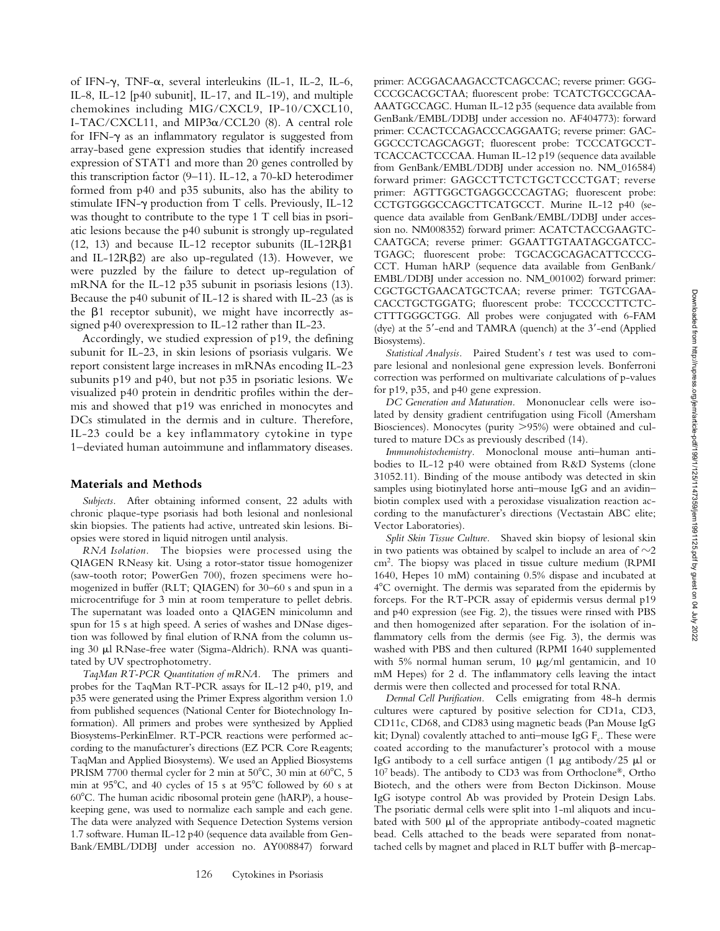of IFN- $\gamma$ , TNF- $\alpha$ , several interleukins (IL-1, IL-2, IL-6, IL-8, IL-12 [p40 subunit], IL-17, and IL-19), and multiple chemokines including MIG/CXCL9, IP-10/CXCL10, I-TAC/CXCL11, and MIP3 $\alpha$ /CCL20 (8). A central role for IFN- $\gamma$  as an inflammatory regulator is suggested from array-based gene expression studies that identify increased expression of STAT1 and more than 20 genes controlled by this transcription factor (9–11). IL-12, a 70-kD heterodimer formed from p40 and p35 subunits, also has the ability to stimulate IFN-y production from T cells. Previously, IL-12 was thought to contribute to the type 1 T cell bias in psoriatic lesions because the p40 subunit is strongly up-regulated (12, 13) and because IL-12 receptor subunits (IL-12R $\beta$ 1 and IL-12R $\beta$ 2) are also up-regulated (13). However, we were puzzled by the failure to detect up-regulation of mRNA for the IL-12 p35 subunit in psoriasis lesions (13). Because the p40 subunit of IL-12 is shared with IL-23 (as is the  $\beta$ 1 receptor subunit), we might have incorrectly assigned p40 overexpression to IL-12 rather than IL-23.

Accordingly, we studied expression of p19, the defining subunit for IL-23, in skin lesions of psoriasis vulgaris. We report consistent large increases in mRNAs encoding IL-23 subunits p19 and p40, but not p35 in psoriatic lesions. We visualized p40 protein in dendritic profiles within the dermis and showed that p19 was enriched in monocytes and DCs stimulated in the dermis and in culture. Therefore, IL-23 could be a key inflammatory cytokine in type 1–deviated human autoimmune and inflammatory diseases.

#### **Materials and Methods**

*Subjects.* After obtaining informed consent, 22 adults with chronic plaque-type psoriasis had both lesional and nonlesional skin biopsies. The patients had active, untreated skin lesions. Biopsies were stored in liquid nitrogen until analysis.

*RNA Isolation.* The biopsies were processed using the QIAGEN RNeasy kit. Using a rotor-stator tissue homogenizer (saw-tooth rotor; PowerGen 700), frozen specimens were homogenized in buffer (RLT; QIAGEN) for 30–60 s and spun in a microcentrifuge for 3 min at room temperature to pellet debris. The supernatant was loaded onto a QIAGEN minicolumn and spun for 15 s at high speed. A series of washes and DNase digestion was followed by final elution of RNA from the column using 30 µl RNase-free water (Sigma-Aldrich). RNA was quantitated by UV spectrophotometry.

*TaqMan RT-PCR Quantitation of mRNA.* The primers and probes for the TaqMan RT-PCR assays for IL-12 p40, p19, and p35 were generated using the Primer Express algorithm version 1.0 from published sequences (National Center for Biotechnology Information). All primers and probes were synthesized by Applied Biosystems-PerkinElmer. RT-PCR reactions were performed according to the manufacturer's directions (EZ PCR Core Reagents; TaqMan and Applied Biosystems). We used an Applied Biosystems PRISM 7700 thermal cycler for 2 min at  $50^{\circ}$ C, 30 min at  $60^{\circ}$ C, 5 min at  $95^{\circ}$ C, and 40 cycles of 15 s at  $95^{\circ}$ C followed by 60 s at  $60^{\circ}$ C. The human acidic ribosomal protein gene (hARP), a housekeeping gene, was used to normalize each sample and each gene. The data were analyzed with Sequence Detection Systems version 1.7 software. Human IL-12 p40 (sequence data available from Gen-Bank/EMBL/DDBJ under accession no. AY008847) forward primer: ACGGACAAGACCTCAGCCAC; reverse primer: GGG-CCCGCACGCTAA; fluorescent probe: TCATCTGCCGCAA-AAATGCCAGC. Human IL-12 p35 (sequence data available from GenBank/EMBL/DDBJ under accession no. AF404773): forward primer: CCACTCCAGACCCAGGAATG; reverse primer: GAC-GGCCCTCAGCAGGT; fluorescent probe: TCCCATGCCT-TCACCACTCCCAA. Human IL-12 p19 (sequence data available from GenBank/EMBL/DDBJ under accession no. NM\_016584) forward primer: GAGCCTTCTCTGCTCCCTGAT; reverse primer: AGTTGGCTGAGGCCCAGTAG; fluorescent probe: CCTGTGGGCCAGCTTCATGCCT. Murine IL-12 p40 (sequence data available from GenBank/EMBL/DDBJ under accession no. NM008352) forward primer: ACATCTACCGAAGTC-CAATGCA; reverse primer: GGAATTGTAATAGCGATCC-TGAGC; fluorescent probe: TGCACGCAGACATTCCCG-CCT. Human hARP (sequence data available from GenBank/ EMBL/DDBJ under accession no. NM\_001002) forward primer: CGCTGCTGAACATGCTCAA; reverse primer: TGTCGAA-CACCTGCTGGATG; fluorescent probe: TCCCCCTTCTC-CTTTGGGCTGG. All probes were conjugated with 6-FAM (dye) at the 5 -end and TAMRA (quench) at the 3 -end (Applied Biosystems).

*Statistical Analysis.* Paired Student's *t* test was used to compare lesional and nonlesional gene expression levels. Bonferroni correction was performed on multivariate calculations of p-values for p19, p35, and p40 gene expression.

*DC Generation and Maturation.* Mononuclear cells were isolated by density gradient centrifugation using Ficoll (Amersham Biosciences). Monocytes (purity >95%) were obtained and cultured to mature DCs as previously described (14).

*Immunohistochemistry.* Monoclonal mouse anti–human antibodies to IL-12 p40 were obtained from R&D Systems (clone 31052.11). Binding of the mouse antibody was detected in skin samples using biotinylated horse anti–mouse IgG and an avidin– biotin complex used with a peroxidase visualization reaction according to the manufacturer's directions (Vectastain ABC elite; Vector Laboratories).

*Split Skin Tissue Culture.* Shaved skin biopsy of lesional skin in two patients was obtained by scalpel to include an area of  ${\sim}2$ cm2. The biopsy was placed in tissue culture medium (RPMI 1640, Hepes 10 mM) containing 0.5% dispase and incubated at 4 C overnight. The dermis was separated from the epidermis by forceps. For the RT-PCR assay of epidermis versus dermal p19 and p40 expression (see Fig. 2), the tissues were rinsed with PBS and then homogenized after separation. For the isolation of inflammatory cells from the dermis (see Fig. 3), the dermis was washed with PBS and then cultured (RPMI 1640 supplemented with 5% normal human serum, 10  $\mu$ g/ml gentamicin, and 10 mM Hepes) for 2 d. The inflammatory cells leaving the intact dermis were then collected and processed for total RNA.

*Dermal Cell Purification.* Cells emigrating from 48-h dermis cultures were captured by positive selection for CD1a, CD3, CD11c, CD68, and CD83 using magnetic beads (Pan Mouse IgG kit; Dynal) covalently attached to anti-mouse IgG  $F_c$ . These were coated according to the manufacturer's protocol with a mouse IgG antibody to a cell surface antigen (1  $\mu$ g antibody/25  $\mu$ l or 107 beads). The antibody to CD3 was from Orthoclone®, Ortho Biotech, and the others were from Becton Dickinson. Mouse IgG isotype control Ab was provided by Protein Design Labs. The psoriatic dermal cells were split into 1-ml aliquots and incubated with 500  $\mu$ l of the appropriate antibody-coated magnetic bead. Cells attached to the beads were separated from nonattached cells by magnet and placed in RLT buffer with  $\beta$ -mercap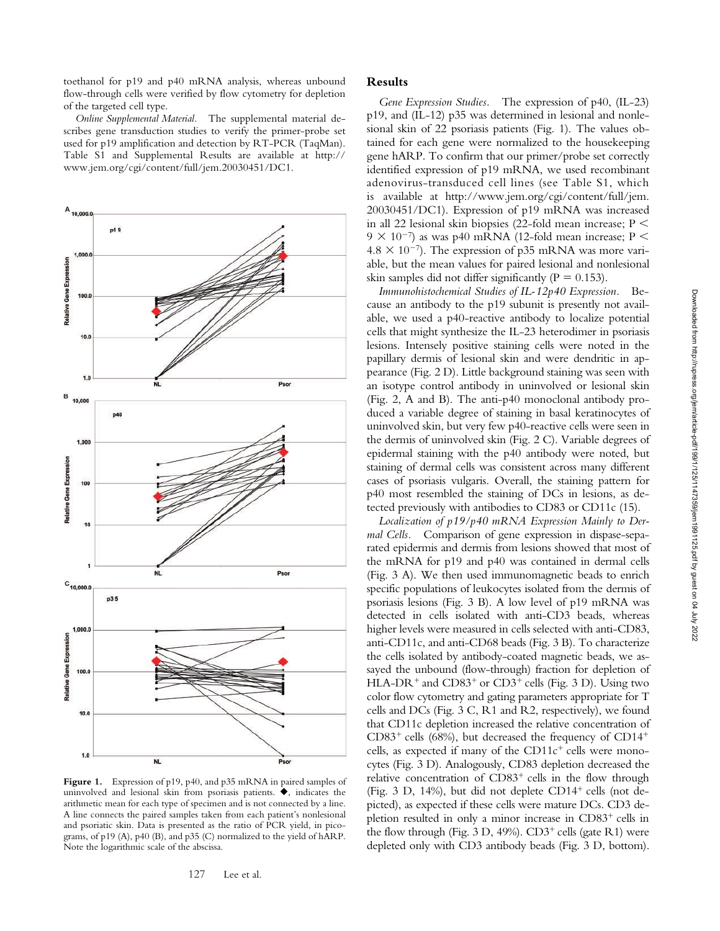toethanol for p19 and p40 mRNA analysis, whereas unbound flow-through cells were verified by flow cytometry for depletion of the targeted cell type.

*Online Supplemental Material.* The supplemental material describes gene transduction studies to verify the primer-probe set used for p19 amplification and detection by RT-PCR (TaqMan). Table S1 and Supplemental Results are available at http:// www.jem.org/cgi/content/full/jem.20030451/DC1.



Figure 1. Expression of p19, p40, and p35 mRNA in paired samples of uninvolved and lesional skin from psoriasis patients.  $\blacklozenge$ , indicates the arithmetic mean for each type of specimen and is not connected by a line. A line connects the paired samples taken from each patient's nonlesional and psoriatic skin. Data is presented as the ratio of PCR yield, in picograms, of p19 (A), p40 (B), and p35 (C) normalized to the yield of hARP. Note the logarithmic scale of the abscissa.

#### **Results**

*Gene Expression Studies.* The expression of p40, (IL-23) p19, and (IL-12) p35 was determined in lesional and nonlesional skin of 22 psoriasis patients (Fig. 1). The values obtained for each gene were normalized to the housekeeping gene hARP. To confirm that our primer/probe set correctly identified expression of p19 mRNA, we used recombinant adenovirus-transduced cell lines (see Table S1, which is available at http://www.jem.org/cgi/content/full/jem. 20030451/DC1). Expression of p19 mRNA was increased in all 22 lesional skin biopsies (22-fold mean increase;  $P \leq$  $9 \times 10^{-7}$ ) as was p40 mRNA (12-fold mean increase; P <  $4.8 \times 10^{-7}$ ). The expression of p35 mRNA was more variable, but the mean values for paired lesional and nonlesional skin samples did not differ significantly ( $P = 0.153$ ).

*Immunohistochemical Studies of IL-12p40 Expression.* Because an antibody to the p19 subunit is presently not available, we used a p40-reactive antibody to localize potential cells that might synthesize the IL-23 heterodimer in psoriasis lesions. Intensely positive staining cells were noted in the papillary dermis of lesional skin and were dendritic in appearance (Fig. 2 D). Little background staining was seen with an isotype control antibody in uninvolved or lesional skin (Fig. 2, A and B). The anti-p40 monoclonal antibody produced a variable degree of staining in basal keratinocytes of uninvolved skin, but very few p40-reactive cells were seen in the dermis of uninvolved skin (Fig. 2 C). Variable degrees of epidermal staining with the p40 antibody were noted, but staining of dermal cells was consistent across many different cases of psoriasis vulgaris. Overall, the staining pattern for p40 most resembled the staining of DCs in lesions, as detected previously with antibodies to CD83 or CD11c (15).

*Localization of p19/p40 mRNA Expression Mainly to Dermal Cells.* Comparison of gene expression in dispase-separated epidermis and dermis from lesions showed that most of the mRNA for p19 and p40 was contained in dermal cells (Fig. 3 A). We then used immunomagnetic beads to enrich specific populations of leukocytes isolated from the dermis of psoriasis lesions (Fig. 3 B). A low level of p19 mRNA was detected in cells isolated with anti-CD3 beads, whereas higher levels were measured in cells selected with anti-CD83, anti-CD11c, and anti-CD68 beads (Fig. 3 B). To characterize the cells isolated by antibody-coated magnetic beads, we assayed the unbound (flow-through) fraction for depletion of HLA-DR<sup>+</sup> and  $CD83<sup>+</sup>$  or  $CD3<sup>+</sup>$  cells (Fig. 3 D). Using two color flow cytometry and gating parameters appropriate for T cells and DCs (Fig. 3 C, R1 and R2, respectively), we found that CD11c depletion increased the relative concentration of  $CD83<sup>+</sup>$  cells (68%), but decreased the frequency of  $CD14<sup>+</sup>$ cells, as expected if many of the  $CD11c^+$  cells were monocytes (Fig. 3 D). Analogously, CD83 depletion decreased the relative concentration of  $CD83<sup>+</sup>$  cells in the flow through (Fig. 3 D, 14%), but did not deplete  $CD14^+$  cells (not depicted), as expected if these cells were mature DCs. CD3 depletion resulted in only a minor increase in  $CD83<sup>+</sup>$  cells in the flow through (Fig. 3 D, 49%).  $CD3^+$  cells (gate R1) were depleted only with CD3 antibody beads (Fig. 3 D, bottom).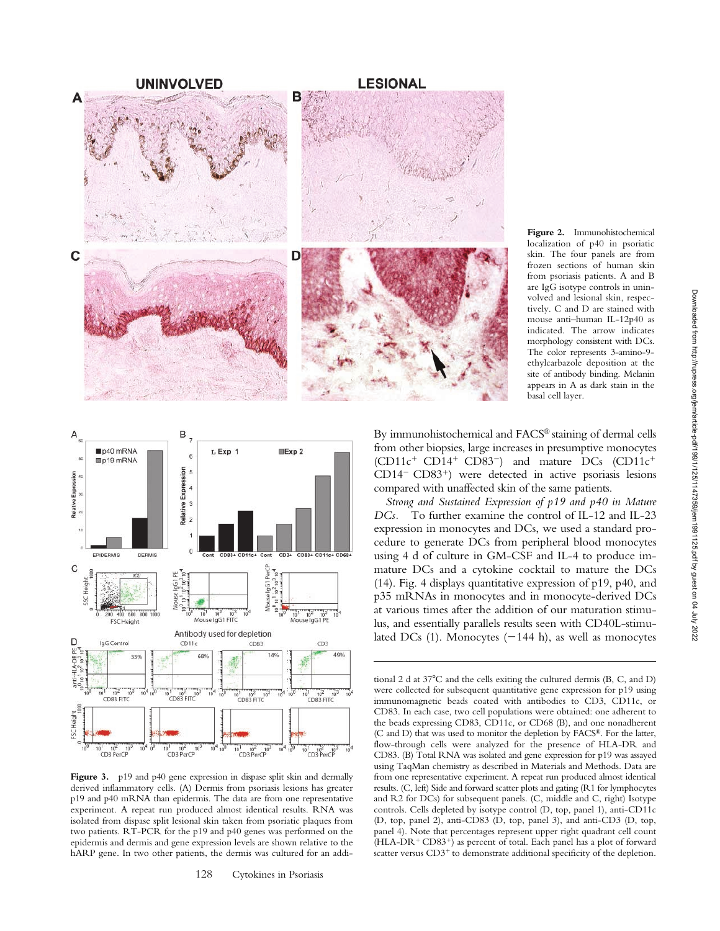

**Figure 2.** Immunohistochemical localization of p40 in psoriatic skin. The four panels are from frozen sections of human skin from psoriasis patients. A and B are IgG isotype controls in uninvolved and lesional skin, respectively. C and D are stained with mouse anti–human IL-12p40 as indicated. The arrow indicates morphology consistent with DCs. The color represents 3-amino-9 ethylcarbazole deposition at the site of antibody binding. Melanin appears in A as dark stain in the basal cell layer.



Figure 3. p19 and p40 gene expression in dispase split skin and dermally derived inflammatory cells. (A) Dermis from psoriasis lesions has greater p19 and p40 mRNA than epidermis. The data are from one representative experiment. A repeat run produced almost identical results. RNA was isolated from dispase split lesional skin taken from psoriatic plaques from two patients. RT-PCR for the p19 and p40 genes was performed on the epidermis and dermis and gene expression levels are shown relative to the hARP gene. In two other patients, the dermis was cultured for an addi-

By immunohistochemical and FACS® staining of dermal cells from other biopsies, large increases in presumptive monocytes  $(CD11c^+ CD14^+ CD83^-)$  and mature DCs  $(CD11c^+$ CD14<sup>-</sup> CD83<sup>+</sup>) were detected in active psoriasis lesions compared with unaffected skin of the same patients.

*Strong and Sustained Expression of p19 and p40 in Mature DCs.* To further examine the control of IL-12 and IL-23 expression in monocytes and DCs, we used a standard procedure to generate DCs from peripheral blood monocytes using 4 d of culture in GM-CSF and IL-4 to produce immature DCs and a cytokine cocktail to mature the DCs (14). Fig. 4 displays quantitative expression of p19, p40, and p35 mRNAs in monocytes and in monocyte-derived DCs at various times after the addition of our maturation stimulus, and essentially parallels results seen with CD40L-stimulated DCs (1). Monocytes  $(-144 \text{ h})$ , as well as monocytes

tional 2 d at 37°C and the cells exiting the cultured dermis (B, C, and D) were collected for subsequent quantitative gene expression for p19 using immunomagnetic beads coated with antibodies to CD3, CD11c, or CD83. In each case, two cell populations were obtained: one adherent to the beads expressing CD83, CD11c, or CD68 (B), and one nonadherent (C and D) that was used to monitor the depletion by FACS®. For the latter, flow-through cells were analyzed for the presence of HLA-DR and CD83. (B) Total RNA was isolated and gene expression for p19 was assayed using TaqMan chemistry as described in Materials and Methods. Data are from one representative experiment. A repeat run produced almost identical results. (C, left) Side and forward scatter plots and gating (R1 for lymphocytes and R2 for DCs) for subsequent panels. (C, middle and C, right) Isotype controls. Cells depleted by isotype control (D, top, panel 1), anti-CD11c (D, top, panel 2), anti-CD83 (D, top, panel 3), and anti-CD3 (D, top, panel 4). Note that percentages represent upper right quadrant cell count  $(HLA-DR<sup>+</sup>CD83<sup>+</sup>)$  as percent of total. Each panel has a plot of forward scatter versus CD3<sup>+</sup> to demonstrate additional specificity of the depletion.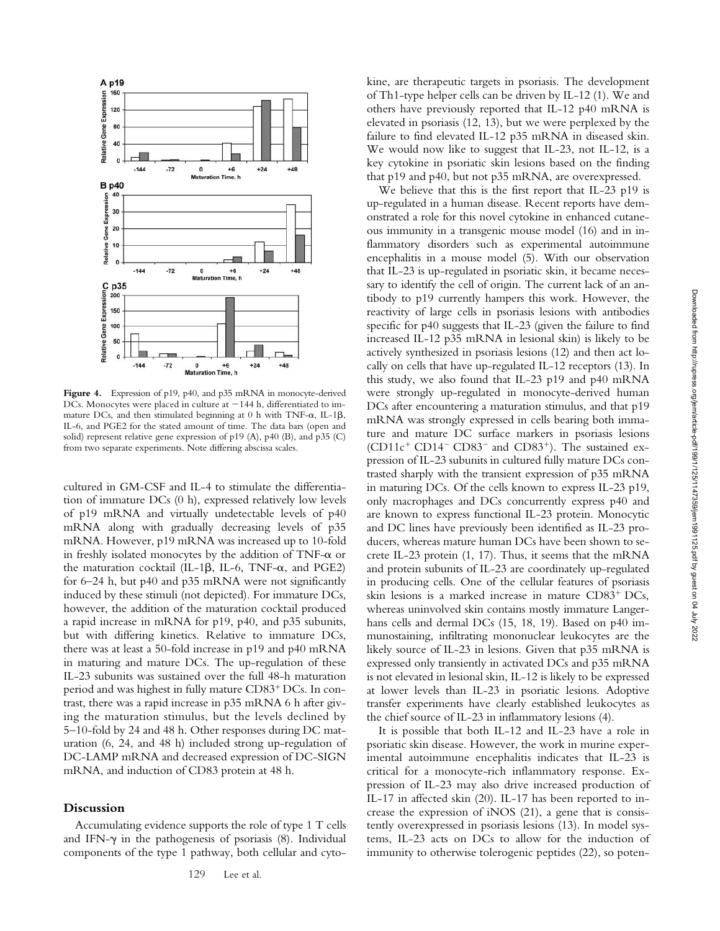

Figure 4. Expression of p19, p40, and p35 mRNA in monocyte-derived DCs. Monocytes were placed in culture at  $-144$  h, differentiated to immature DCs, and then stimulated beginning at 0 h with TNF- $\alpha$ , IL-1 $\beta$ , IL-6, and PGE2 for the stated amount of time. The data bars (open and solid) represent relative gene expression of p19 (A), p40 (B), and p35 (C) from two separate experiments. Note differing abscissa scales.

cultured in GM-CSF and IL-4 to stimulate the differentiation of immature DCs (0 h), expressed relatively low levels of p19 mRNA and virtually undetectable levels of p40 mRNA along with gradually decreasing levels of p35 mRNA. However, p19 mRNA was increased up to 10-fold in freshly isolated monocytes by the addition of  $TNF-\alpha$  or the maturation cocktail (IL-1 $\beta$ , IL-6, TNF- $\alpha$ , and PGE2) for 6–24 h, but p40 and p35 mRNA were not significantly induced by these stimuli (not depicted). For immature DCs, however, the addition of the maturation cocktail produced a rapid increase in mRNA for p19, p40, and p35 subunits, but with differing kinetics. Relative to immature DCs, there was at least a 50-fold increase in p19 and p40 mRNA in maturing and mature DCs. The up-regulation of these IL-23 subunits was sustained over the full 48-h maturation period and was highest in fully mature  $CD83<sup>+</sup>DCs$ . In contrast, there was a rapid increase in p35 mRNA 6 h after giving the maturation stimulus, but the levels declined by 5–10-fold by 24 and 48 h. Other responses during DC maturation (6, 24, and 48 h) included strong up-regulation of DC-LAMP mRNA and decreased expression of DC-SIGN mRNA, and induction of CD83 protein at 48 h.

## **Discussion**

Accumulating evidence supports the role of type 1 T cells and IFN- $\gamma$  in the pathogenesis of psoriasis (8). Individual components of the type 1 pathway, both cellular and cytokine, are therapeutic targets in psoriasis. The development of Th1-type helper cells can be driven by IL-12 (1). We and others have previously reported that IL-12 p40 mRNA is elevated in psoriasis (12, 13), but we were perplexed by the failure to find elevated IL-12 p35 mRNA in diseased skin. We would now like to suggest that IL-23, not IL-12, is a key cytokine in psoriatic skin lesions based on the finding that p19 and p40, but not p35 mRNA, are overexpressed.

We believe that this is the first report that IL-23 p19 is up-regulated in a human disease. Recent reports have demonstrated a role for this novel cytokine in enhanced cutaneous immunity in a transgenic mouse model (16) and in inflammatory disorders such as experimental autoimmune encephalitis in a mouse model (5). With our observation that IL-23 is up-regulated in psoriatic skin, it became necessary to identify the cell of origin. The current lack of an antibody to p19 currently hampers this work. However, the reactivity of large cells in psoriasis lesions with antibodies specific for p40 suggests that IL-23 (given the failure to find increased IL-12 p35 mRNA in lesional skin) is likely to be actively synthesized in psoriasis lesions (12) and then act locally on cells that have up-regulated IL-12 receptors (13). In this study, we also found that IL-23 p19 and p40 mRNA were strongly up-regulated in monocyte-derived human DCs after encountering a maturation stimulus, and that p19 mRNA was strongly expressed in cells bearing both immature and mature DC surface markers in psoriasis lesions  $(CD11c^{+}CD14^{-}CD83^{-})$  and  $CD83^{+}$ ). The sustained expression of IL-23 subunits in cultured fully mature DCs contrasted sharply with the transient expression of p35 mRNA in maturing DCs. Of the cells known to express IL-23 p19, only macrophages and DCs concurrently express p40 and are known to express functional IL-23 protein. Monocytic and DC lines have previously been identified as IL-23 producers, whereas mature human DCs have been shown to secrete IL-23 protein (1, 17). Thus, it seems that the mRNA and protein subunits of IL-23 are coordinately up-regulated in producing cells. One of the cellular features of psoriasis skin lesions is a marked increase in mature  $CD83^+$  DCs, whereas uninvolved skin contains mostly immature Langerhans cells and dermal DCs (15, 18, 19). Based on p40 immunostaining, infiltrating mononuclear leukocytes are the likely source of IL-23 in lesions. Given that p35 mRNA is expressed only transiently in activated DCs and p35 mRNA is not elevated in lesional skin, IL-12 is likely to be expressed at lower levels than IL-23 in psoriatic lesions. Adoptive transfer experiments have clearly established leukocytes as the chief source of IL-23 in inflammatory lesions (4).

It is possible that both IL-12 and IL-23 have a role in psoriatic skin disease. However, the work in murine experimental autoimmune encephalitis indicates that IL-23 is critical for a monocyte-rich inflammatory response. Expression of IL-23 may also drive increased production of IL-17 in affected skin (20). IL-17 has been reported to increase the expression of iNOS (21), a gene that is consistently overexpressed in psoriasis lesions (13). In model systems, IL-23 acts on DCs to allow for the induction of immunity to otherwise tolerogenic peptides (22), so poten